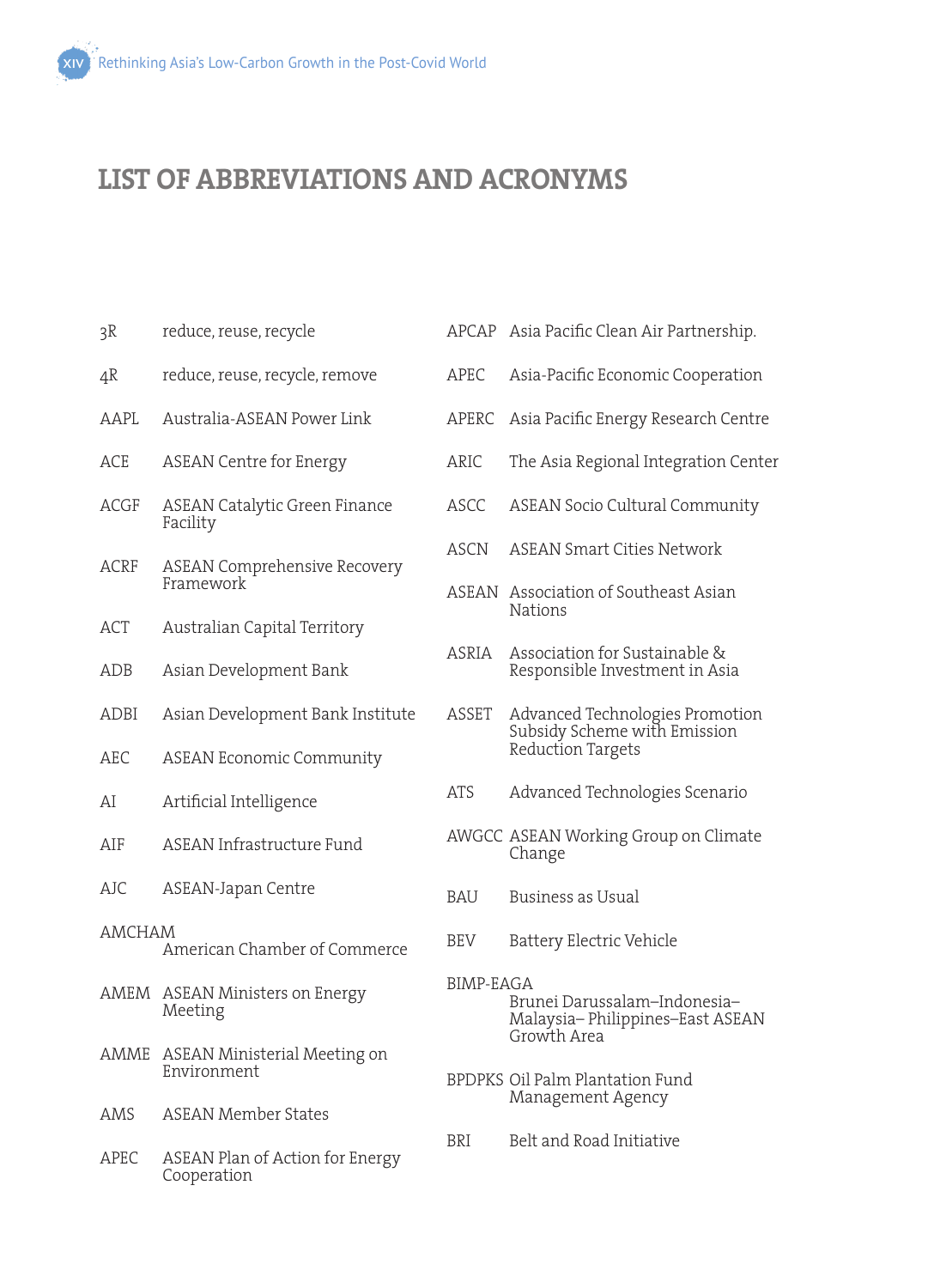## **LIST OF ABBREVIATIONS AND ACRONYMS**

| 3R                                     | reduce, reuse, recycle                           |  |
|----------------------------------------|--------------------------------------------------|--|
| 4R                                     | reduce, reuse, recycle, remove                   |  |
| AAPL                                   | Australia-ASEAN Power Link                       |  |
| ACE                                    | <b>ASEAN Centre for Energy</b>                   |  |
| <b>ACGF</b>                            | <b>ASEAN Catalytic Green Finance</b><br>Facility |  |
| ACRF                                   | <b>ASEAN Comprehensive Recovery</b><br>Framework |  |
| ACT                                    | Australian Capital Territory                     |  |
| ADB                                    | Asian Development Bank                           |  |
| ADBI                                   | Asian Development Bank Institute                 |  |
| AEC                                    | <b>ASEAN Economic Community</b>                  |  |
| AI                                     | Artificial Intelligence                          |  |
| AIF                                    | ASEAN Infrastructure Fund                        |  |
| AJC                                    | ASEAN-Japan Centre                               |  |
| AMCHAM<br>American Chamber of Commerce |                                                  |  |
| AMEM                                   | <b>ASEAN Ministers on Energy</b><br>Meeting      |  |
| AMME                                   | ASEAN Ministerial Meeting on<br>Environment      |  |
| AMS                                    | <b>ASEAN Member States</b>                       |  |
| APEC                                   | ASEAN Plan of Action for Energy<br>Cooperation   |  |

- APCAP Asia Pacific Clean Air Partnership.
- APEC Asia-Pacific Economic Cooperation
- APERC Asia Pacific Energy Research Centre
- ARIC The Asia Regional Integration Center
- ASCC ASEAN Socio Cultural Community
- ASCN ASEAN Smart Cities Network
- ASEAN Association of Southeast Asian Nations
- ASRIA Association for Sustainable & Responsible Investment in Asia
- ASSET Advanced Technologies Promotion Subsidy Scheme with Emission Reduction Targets
- ATS Advanced Technologies Scenario
- AWGCC ASEAN Working Group on Climate Change
- BAU Business as Usual
- BEV Battery Electric Vehicle
- BIMP-EAGA Brunei Darussalam–Indonesia– Malaysia– Philippines–East ASEAN Growth Area
- BPDPKS Oil Palm Plantation Fund Management Agency
- BRI Belt and Road Initiative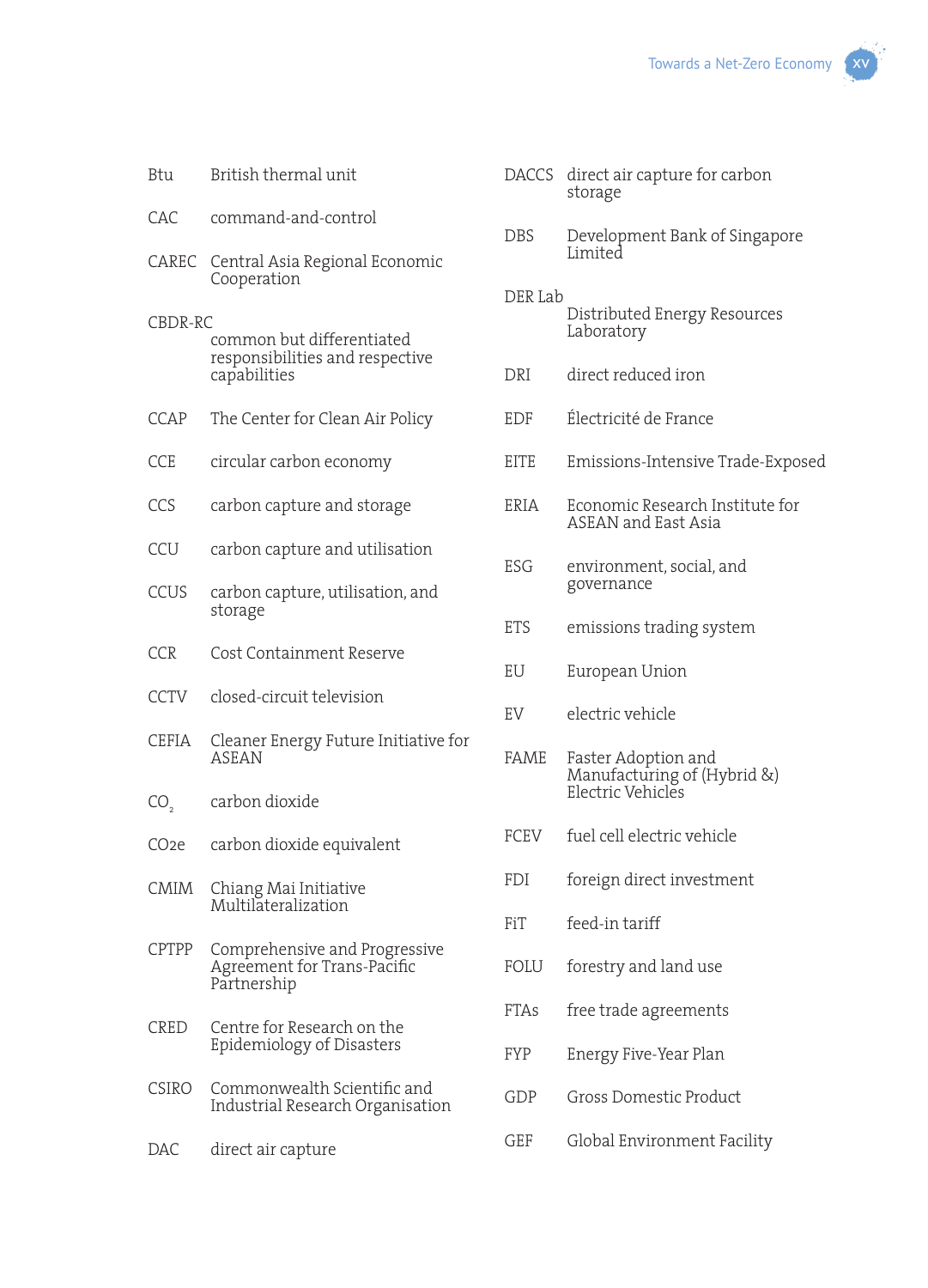- CAC command-and-control
- CAREC Central Asia Regional Economic Cooperation
- CBDR-RC common but differentiated responsibilities and respective capabilities
- CCAP The Center for Clean Air Policy
- CCE circular carbon economy
- CCS carbon capture and storage
- CCU carbon capture and utilisation
- CCUS carbon capture, utilisation, and storage
- CCR Cost Containment Reserve
- CCTV closed-circuit television
- CEFIA Cleaner Energy Future Initiative for ASEAN
- CO<sub>2</sub> carbon dioxide
- CO2e carbon dioxide equivalent
- CMIM Chiang Mai Initiative Multilateralization
- CPTPP Comprehensive and Progressive Agreement for Trans-Pacific Partnership
- CRED Centre for Research on the Epidemiology of Disasters
- CSIRO Commonwealth Scientific and Industrial Research Organisation
- DAC direct air capture
- DACCS direct air capture for carbon storage
- DBS Development Bank of Singapore Limited
- DER Lab Distributed Energy Resources Laboratory
- DRI direct reduced iron
- EDF Électricité de France
- EITE Emissions-Intensive Trade-Exposed
- ERIA Economic Research Institute for ASEAN and East Asia
- ESG environment, social, and governance
- ETS emissions trading system
- EU European Union
- EV electric vehicle
- FAME Faster Adoption and Manufacturing of (Hybrid &) Electric Vehicles
- FCEV fuel cell electric vehicle
- FDI foreign direct investment
- FiT feed-in tariff
- FOLU forestry and land use
- FTAs free trade agreements
- FYP Energy Five-Year Plan
- GDP Gross Domestic Product
- GEF Global Environment Facility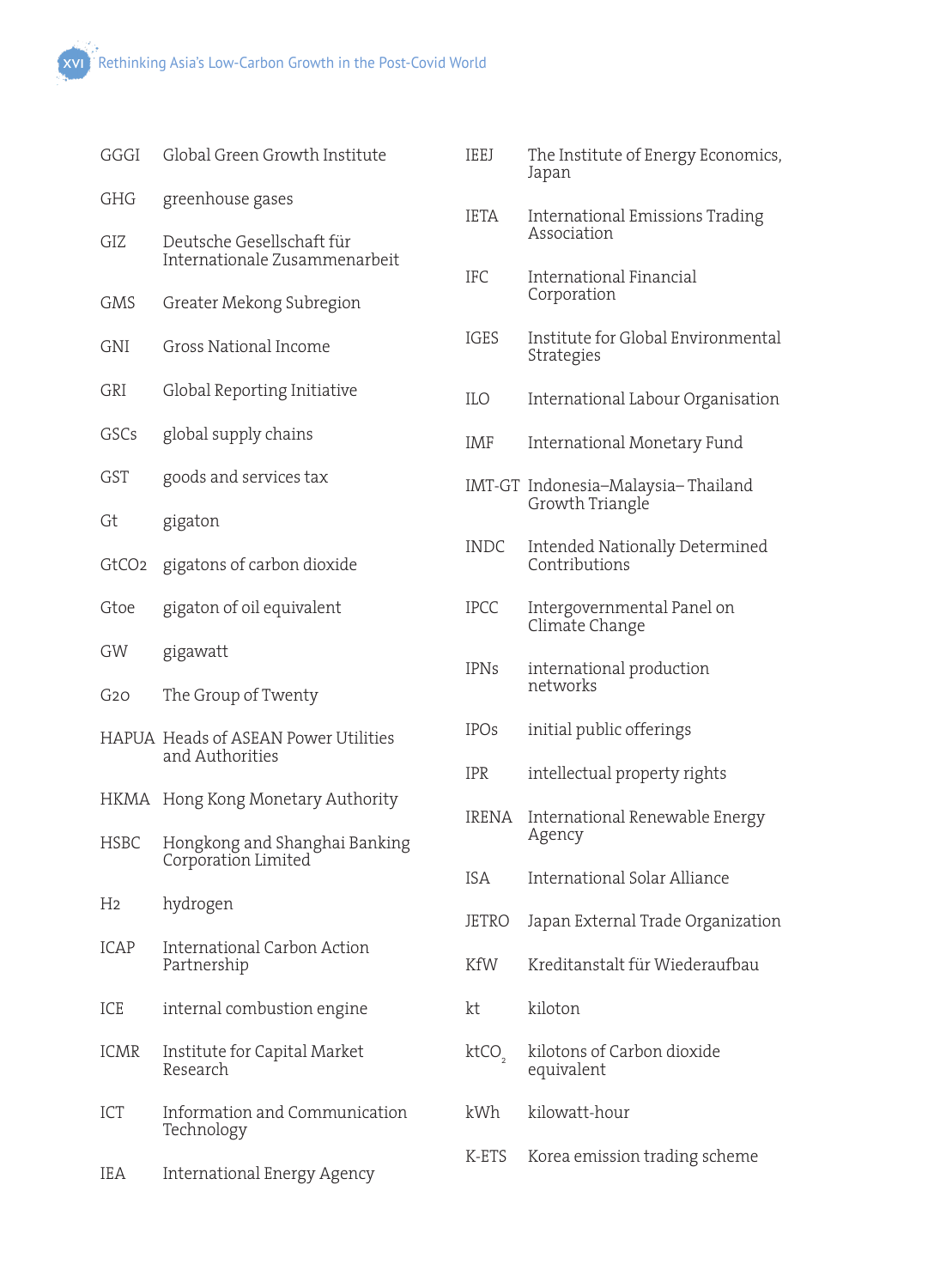| GGGI              | Global Green Growth Institute                              | IEEJ              | The Institute of Energy Economics,<br>Japan      |  |
|-------------------|------------------------------------------------------------|-------------------|--------------------------------------------------|--|
| GHG               | greenhouse gases                                           | IETA              | International Emissions Trading                  |  |
| GIZ               | Deutsche Gesellschaft für<br>Internationale Zusammenarbeit |                   | Association                                      |  |
| GMS               | Greater Mekong Subregion                                   | <b>IFC</b>        | <b>International Financial</b><br>Corporation    |  |
| GNI               | Gross National Income                                      | IGES              | Institute for Global Environmental<br>Strategies |  |
| GRI               | Global Reporting Initiative                                | ILO               | International Labour Organisation                |  |
| GSCs              | global supply chains                                       | IMF               | International Monetary Fund                      |  |
| GST               | goods and services tax                                     |                   | IMT-GT Indonesia-Malaysia-Thailand               |  |
| Gt                | gigaton                                                    |                   | Growth Triangle                                  |  |
| GtCO <sub>2</sub> | gigatons of carbon dioxide                                 | <b>INDC</b>       | Intended Nationally Determined<br>Contributions  |  |
| Gtoe              | gigaton of oil equivalent                                  | <b>IPCC</b>       | Intergovernmental Panel on<br>Climate Change     |  |
| GW                | gigawatt                                                   | <b>IPNs</b>       | international production<br>networks             |  |
| G <sub>20</sub>   | The Group of Twenty                                        |                   |                                                  |  |
|                   | HAPUA Heads of ASEAN Power Utilities<br>and Authorities    | <b>IPOs</b>       | initial public offerings                         |  |
|                   |                                                            | <b>IPR</b>        | intellectual property rights                     |  |
|                   | HKMA Hong Kong Monetary Authority                          | IRENA             | International Renewable Energy<br>Agency         |  |
| <b>HSBC</b>       | Hongkong and Shanghai Banking<br>Corporation Limited       | <b>ISA</b>        | International Solar Alliance                     |  |
| H <sub>2</sub>    | hydrogen                                                   | JETRO             | Japan External Trade Organization                |  |
| ICAP              | International Carbon Action<br>Partnership                 | KfW               | Kreditanstalt für Wiederaufbau                   |  |
|                   |                                                            |                   |                                                  |  |
| ICE               | internal combustion engine                                 | kt                | kiloton                                          |  |
| ICMR              | Institute for Capital Market<br>Research                   | ktCO <sub>2</sub> | kilotons of Carbon dioxide<br>equivalent         |  |
| ICT               | Information and Communication<br>Technology                | kWh               | kilowatt-hour                                    |  |
| IEA               | International Energy Agency                                | K-ETS             | Korea emission trading scheme                    |  |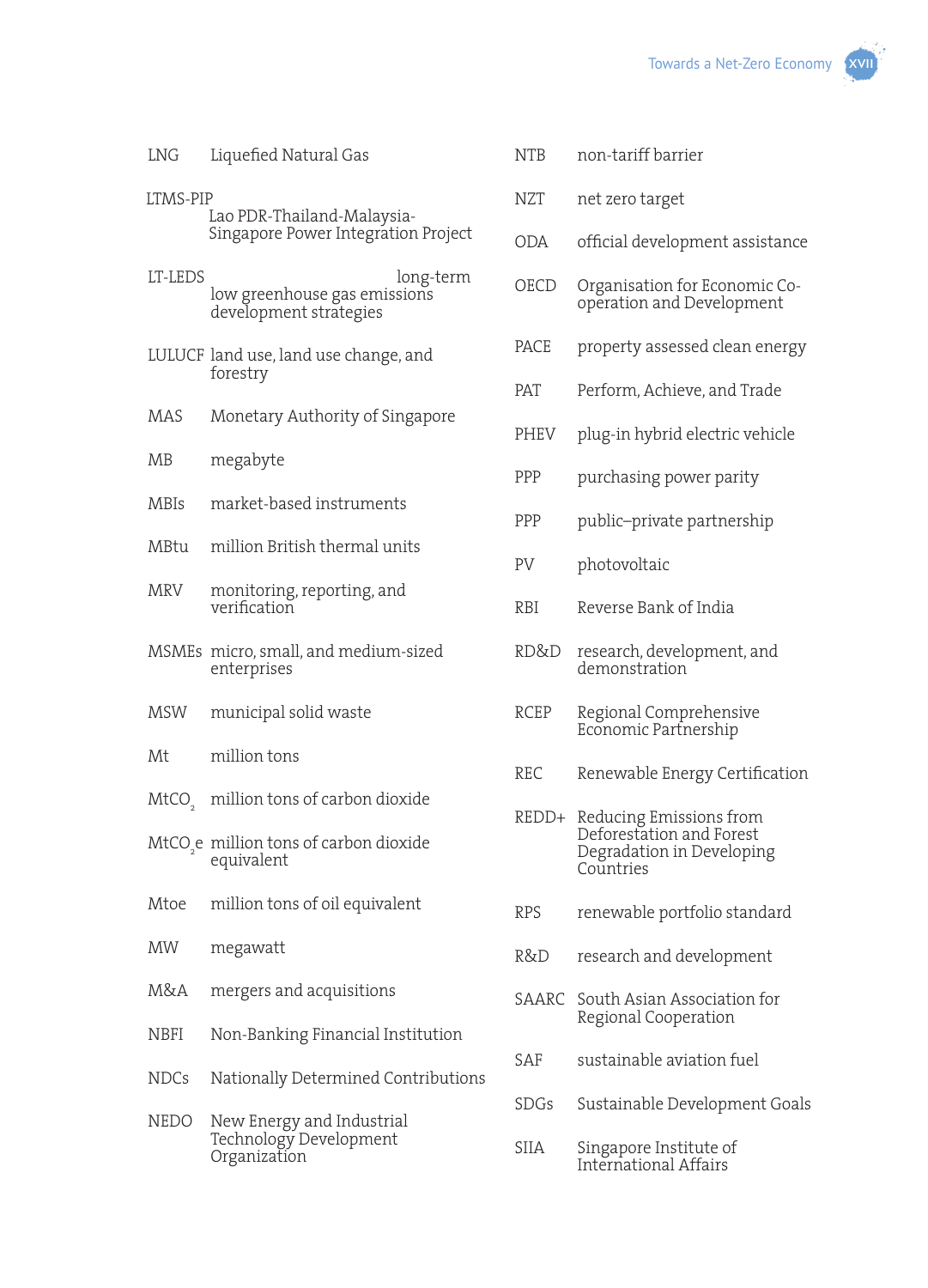

| LNG | Liquefied Natural Gas |  |
|-----|-----------------------|--|
|-----|-----------------------|--|

- LTMS-PIP Lao PDR-Thailand-Malaysia-Singapore Power Integration Project
- LT-LEDS long-term low greenhouse gas emissions development strategies
- LULUCF land use, land use change, and forestry
- MAS Monetary Authority of Singapore
- MB megabyte
- MBIs market-based instruments
- MBtu million British thermal units
- MRV monitoring, reporting, and verification
- MSMEs micro, small, and medium-sized enterprises
- MSW municipal solid waste
- Mt million tons
- MtCO<sub>2</sub> million tons of carbon dioxide
- $\mathrm{MtCO}_{2}$ e million tons of carbon dioxide equivalent
- Mtoe million tons of oil equivalent
- MW megawatt
- M&A mergers and acquisitions
- NBFI Non-Banking Financial Institution
- NDCs Nationally Determined Contributions
- NEDO New Energy and Industrial Technology Development Organization
- NTB non-tariff barrier
- NZT net zero target
- ODA official development assistance
- OECD Organisation for Economic Cooperation and Development
- PACE property assessed clean energy
- PAT Perform, Achieve, and Trade
- PHEV plug-in hybrid electric vehicle
- PPP purchasing power parity
- PPP public–private partnership
- PV photovoltaic
- RBI Reverse Bank of India
- RD&D research, development, and demonstration
- RCEP Regional Comprehensive Economic Partnership
- REC Renewable Energy Certification
- REDD+ Reducing Emissions from Deforestation and Forest Degradation in Developing **Countries**
- RPS renewable portfolio standard
- R&D research and development
- SAARC South Asian Association for Regional Cooperation
- SAF sustainable aviation fuel
- SDGs Sustainable Development Goals
- SIIA Singapore Institute of International Affairs